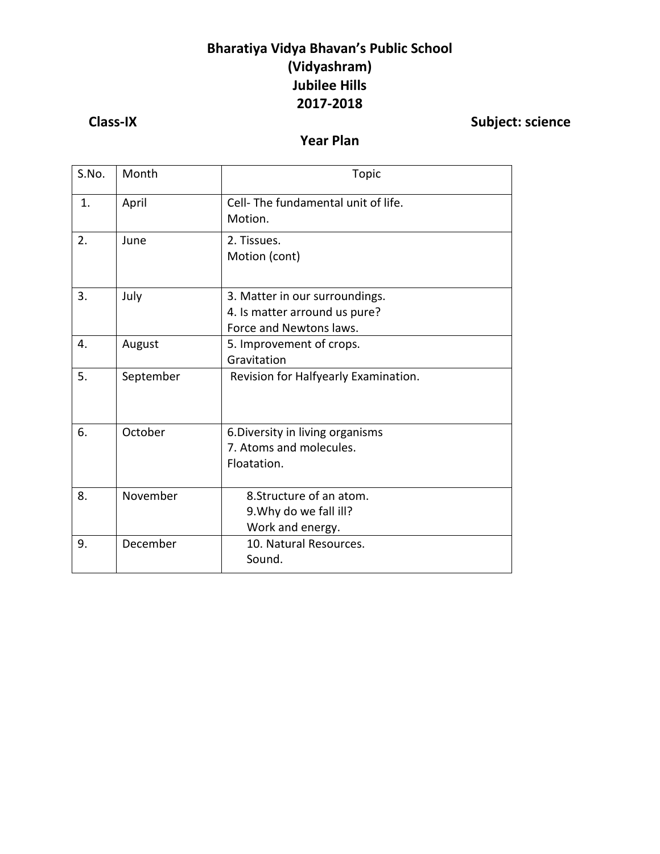## **Bharatiya Vidya Bhavan's Public School (Vidyashram) Jubilee Hills 2017-2018**

**Class-IX Subject: science**

### **Year Plan**

| S.No. | Month     | <b>Topic</b>                                                                               |
|-------|-----------|--------------------------------------------------------------------------------------------|
| 1.    | April     | Cell-The fundamental unit of life.<br>Motion.                                              |
| 2.    | June      | 2. Tissues.<br>Motion (cont)                                                               |
| 3.    | July      | 3. Matter in our surroundings.<br>4. Is matter arround us pure?<br>Force and Newtons laws. |
| 4.    | August    | 5. Improvement of crops.<br>Gravitation                                                    |
| 5.    | September | Revision for Halfyearly Examination.                                                       |
| 6.    | October   | 6. Diversity in living organisms<br>7. Atoms and molecules.<br>Floatation.                 |
| 8.    | November  | 8. Structure of an atom.<br>9. Why do we fall ill?<br>Work and energy.                     |
| 9.    | December  | 10. Natural Resources.<br>Sound.                                                           |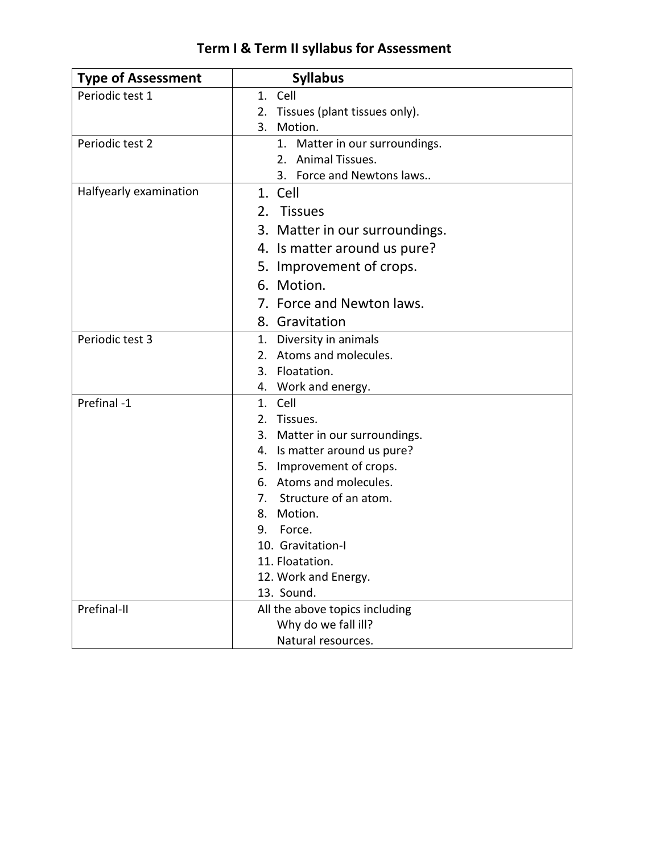| <b>Type of Assessment</b> | <b>Syllabus</b>                  |
|---------------------------|----------------------------------|
| Periodic test 1           | 1. Cell                          |
|                           | 2. Tissues (plant tissues only). |
|                           | 3. Motion.                       |
| Periodic test 2           | 1. Matter in our surroundings.   |
|                           | 2. Animal Tissues.               |
|                           | 3. Force and Newtons laws        |
| Halfyearly examination    | 1. Cell                          |
|                           | <b>Tissues</b><br>2.             |
|                           | 3. Matter in our surroundings.   |
|                           | 4. Is matter around us pure?     |
|                           | 5. Improvement of crops.         |
|                           | 6. Motion.                       |
|                           | 7. Force and Newton laws.        |
|                           | 8. Gravitation                   |
| Periodic test 3           | 1. Diversity in animals          |
|                           | 2. Atoms and molecules.          |
|                           | 3. Floatation.                   |
|                           | 4. Work and energy.              |
| Prefinal -1               | 1. Cell                          |
|                           | 2. Tissues.                      |
|                           | 3. Matter in our surroundings.   |
|                           | 4. Is matter around us pure?     |
|                           | 5. Improvement of crops.         |
|                           | 6. Atoms and molecules.          |
|                           | 7. Structure of an atom.         |
|                           | Motion.<br>8.<br>9.              |
|                           | Force.<br>10. Gravitation-I      |
|                           | 11. Floatation.                  |
|                           | 12. Work and Energy.             |
|                           | 13. Sound.                       |
| Prefinal-II               | All the above topics including   |
|                           | Why do we fall ill?              |
|                           | Natural resources.               |

# **Term I & Term II syllabus for Assessment**